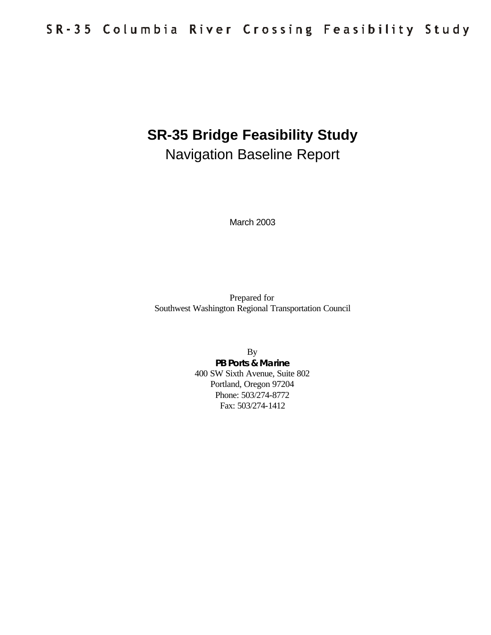# **SR-35 Bridge Feasibility Study** Navigation Baseline Report

March 2003

Prepared for Southwest Washington Regional Transportation Council

> By **PB Ports & Marine** 400 SW Sixth Avenue, Suite 802 Portland, Oregon 97204 Phone: 503/274-8772 Fax: 503/274-1412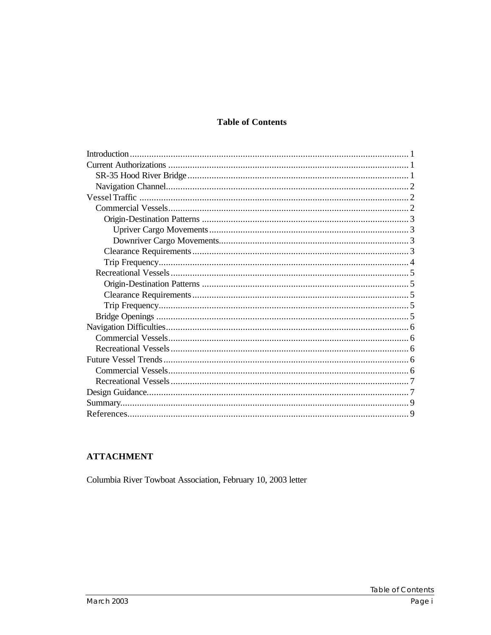#### **Table of Contents**

#### **ATTACHMENT**

Columbia River Towboat Association, February 10, 2003 letter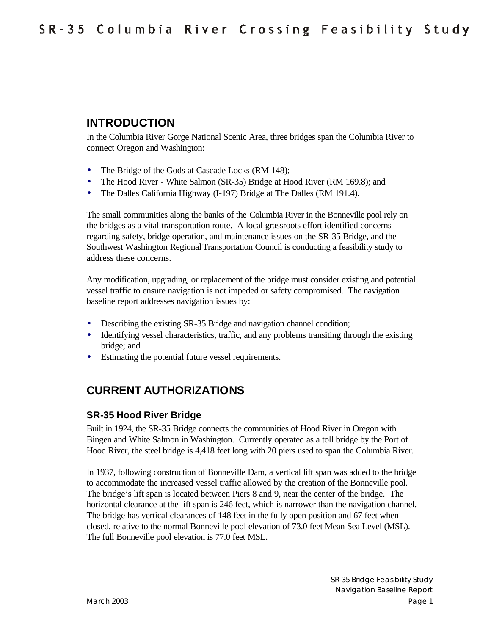# **INTRODUCTION**

In the Columbia River Gorge National Scenic Area, three bridges span the Columbia River to connect Oregon and Washington:

- The Bridge of the Gods at Cascade Locks (RM 148);
- The Hood River White Salmon (SR-35) Bridge at Hood River (RM 169.8); and
- The Dalles California Highway (I-197) Bridge at The Dalles (RM 191.4).

The small communities along the banks of the Columbia River in the Bonneville pool rely on the bridges as a vital transportation route. A local grassroots effort identified concerns regarding safety, bridge operation, and maintenance issues on the SR-35 Bridge, and the Southwest Washington Regional Transportation Council is conducting a feasibility study to address these concerns.

Any modification, upgrading, or replacement of the bridge must consider existing and potential vessel traffic to ensure navigation is not impeded or safety compromised. The navigation baseline report addresses navigation issues by:

- Describing the existing SR-35 Bridge and navigation channel condition;
- Identifying vessel characteristics, traffic, and any problems transiting through the existing bridge; and
- Estimating the potential future vessel requirements.

# **CURRENT AUTHORIZATIONS**

#### **SR-35 Hood River Bridge**

Built in 1924, the SR-35 Bridge connects the communities of Hood River in Oregon with Bingen and White Salmon in Washington. Currently operated as a toll bridge by the Port of Hood River, the steel bridge is 4,418 feet long with 20 piers used to span the Columbia River.

In 1937, following construction of Bonneville Dam, a vertical lift span was added to the bridge to accommodate the increased vessel traffic allowed by the creation of the Bonneville pool. The bridge's lift span is located between Piers 8 and 9, near the center of the bridge. The horizontal clearance at the lift span is 246 feet, which is narrower than the navigation channel. The bridge has vertical clearances of 148 feet in the fully open position and 67 feet when closed, relative to the normal Bonneville pool elevation of 73.0 feet Mean Sea Level (MSL). The full Bonneville pool elevation is 77.0 feet MSL.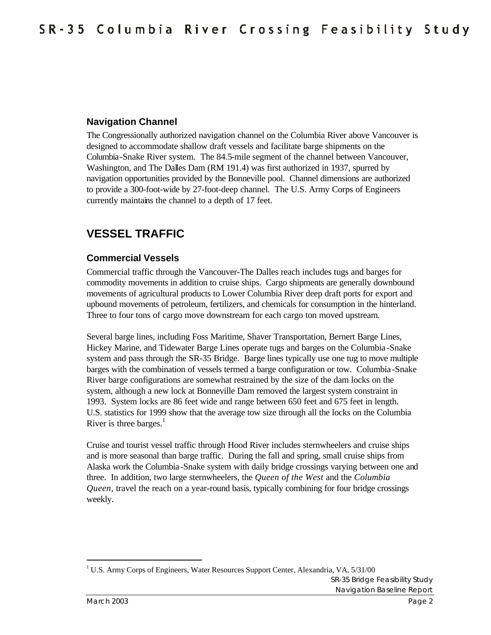#### **Navigation Channel**

The Congressionally authorized navigation channel on the Columbia River above Vancouver is designed to accommodate shallow draft vessels and facilitate barge shipments on the Columbia-Snake River system. The 84.5-mile segment of the channel between Vancouver, Washington, and The Dalles Dam (RM 191.4) was first authorized in 1937, spurred by navigation opportunities provided by the Bonneville pool. Channel dimensions are authorized to provide a 300-foot-wide by 27-foot-deep channel. The U.S. Army Corps of Engineers currently maintains the channel to a depth of 17 feet.

### **VESSEL TRAFFIC**

#### **Commercial Vessels**

Commercial traffic through the Vancouver-The Dalles reach includes tugs and barges for commodity movements in addition to cruise ships. Cargo shipments are generally downbound movements of agricultural products to Lower Columbia River deep draft ports for export and upbound movements of petroleum, fertilizers, and chemicals for consumption in the hinterland. Three to four tons of cargo move downstream for each cargo ton moved upstream.

Several barge lines, including Foss Maritime, Shaver Transportation, Bernert Barge Lines, Hickey Marine, and Tidewater Barge Lines operate tugs and barges on the Columbia -Snake system and pass through the SR-35 Bridge. Barge lines typically use one tug to move multiple barges with the combination of vessels termed a barge configuration or tow. Columbia -Snake River barge configurations are somewhat restrained by the size of the dam locks on the system, although a new lock at Bonneville Dam removed the largest system constraint in 1993. System locks are 86 feet wide and range between 650 feet and 675 feet in length. U.S. statistics for 1999 show that the average tow size through all the locks on the Columbia River is three barges. $<sup>1</sup>$ </sup>

Cruise and tourist vessel traffic through Hood River includes sternwheelers and cruise ships and is more seasonal than barge traffic. During the fall and spring, small cruise ships from Alaska work the Columbia-Snake system with daily bridge crossings varying between one and three. In addition, two large sternwheelers, the *Queen of the West* and the *Columbia Queen,* travel the reach on a year-round basis, typically combining for four bridge crossings weekly.

SR-35 Bridge Feasibility Study Navigation Baseline Report <sup>1</sup> U.S. Army Corps of Engineers, Water Resources Support Center, Alexandria, VA, 5/31/00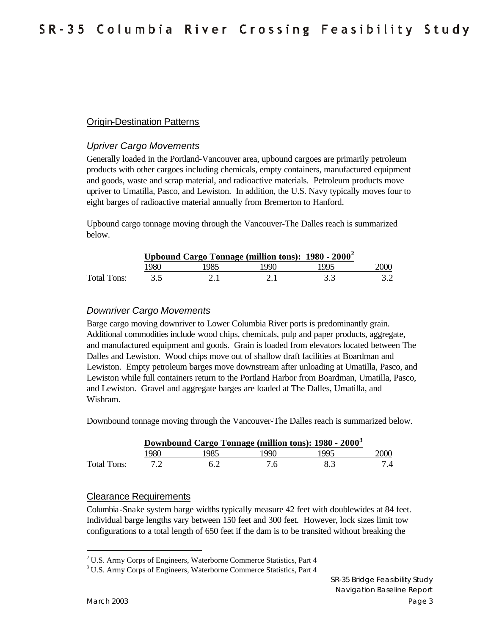#### Origin-Destination Patterns

#### *Upriver Cargo Movements*

Generally loaded in the Portland-Vancouver area, upbound cargoes are primarily petroleum products with other cargoes including chemicals, empty containers, manufactured equipment and goods, waste and scrap material, and radioactive materials. Petroleum products move upriver to Umatilla, Pasco, and Lewiston. In addition, the U.S. Navy typically moves four to eight barges of radioactive material annually from Bremerton to Hanford.

Upbound cargo tonnage moving through the Vancouver-The Dalles reach is summarized below.

|             | Upbound Cargo Tonnage (million tons): 1980 - 2000 <sup>2</sup> |      |      |      |      |
|-------------|----------------------------------------------------------------|------|------|------|------|
|             | '980-                                                          | 1985 | 1990 | 1995 | 2000 |
| Total Tons: |                                                                |      |      |      |      |

#### *Downriver Cargo Movements*

Barge cargo moving downriver to Lower Columbia River ports is predominantly grain. Additional commodities include wood chips, chemicals, pulp and paper products, aggregate, and manufactured equipment and goods. Grain is loaded from elevators located between The Dalles and Lewiston. Wood chips move out of shallow draft facilities at Boardman and Lewiston. Empty petroleum barges move downstream after unloading at Umatilla, Pasco, and Lewiston while full containers return to the Portland Harbor from Boardman, Umatilla, Pasco, and Lewiston. Gravel and aggregate barges are loaded at The Dalles, Umatilla, and Wishram.

Downbound tonnage moving through the Vancouver-The Dalles reach is summarized below.

|             | Downbound Cargo Tonnage (million tons): 1980 - 2000 <sup>3</sup> |     |     |      |       |
|-------------|------------------------------------------------------------------|-----|-----|------|-------|
|             | 1980                                                             | 985 | 990 | 1995 | 2000- |
| Total Tons: |                                                                  |     |     |      | 7.4   |

#### Clearance Requirements

Columbia-Snake system barge widths typically measure 42 feet with doublewides at 84 feet. Individual barge lengths vary between 150 feet and 300 feet. However, lock sizes limit tow configurations to a total length of 650 feet if the dam is to be transited without breaking the

<sup>&</sup>lt;sup>2</sup> U.S. Army Corps of Engineers, Waterborne Commerce Statistics, Part 4

<sup>&</sup>lt;sup>3</sup> U.S. Army Corps of Engineers, Waterborne Commerce Statistics, Part 4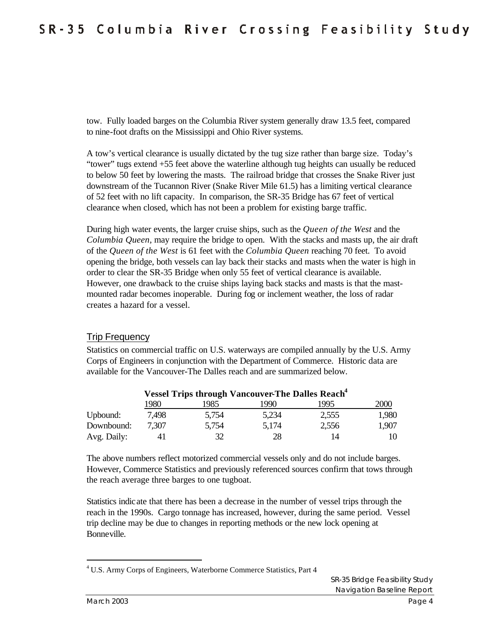tow. Fully loaded barges on the Columbia River system generally draw 13.5 feet, compared to nine-foot drafts on the Mississippi and Ohio River systems.

A tow's vertical clearance is usually dictated by the tug size rather than barge size. Today's "tower" tugs extend +55 feet above the waterline although tug heights can usually be reduced to below 50 feet by lowering the masts. The railroad bridge that crosses the Snake River just downstream of the Tucannon River (Snake River Mile 61.5) has a limiting vertical clearance of 52 feet with no lift capacity. In comparison, the SR-35 Bridge has 67 feet of vertical clearance when closed, which has not been a problem for existing barge traffic.

During high water events, the larger cruise ships, such as the *Queen of the West* and the *Columbia Queen*, may require the bridge to open. With the stacks and masts up, the air draft of the *Queen of the West* is 61 feet with the *Columbia Queen* reaching 70 feet. To avoid opening the bridge, both vessels can lay back their stacks and masts when the water is high in order to clear the SR-35 Bridge when only 55 feet of vertical clearance is available. However, one drawback to the cruise ships laying back stacks and masts is that the mastmounted radar becomes inoperable. During fog or inclement weather, the loss of radar creates a hazard for a vessel.

#### Trip Frequency

Statistics on commercial traffic on U.S. waterways are compiled annually by the U.S. Army Corps of Engineers in conjunction with the Department of Commerce. Historic data are available for the Vancouver-The Dalles reach and are summarized below.

|             | <b>Vessel Trips through Vancouver-The Dalles Reach<sup>4</sup></b> |       |       |       |       |
|-------------|--------------------------------------------------------------------|-------|-------|-------|-------|
|             | 1980                                                               | 1985  | 1990  | 1995  | 2000  |
| Upbound:    | 7.498                                                              | 5,754 | 5,234 | 2,555 | 1,980 |
| Downbound:  | 7.307                                                              | 5,754 | 5,174 | 2,556 | 1,907 |
| Avg. Daily: |                                                                    | 32    | 28    | 14    | 10    |

The above numbers reflect motorized commercial vessels only and do not include barges. However, Commerce Statistics and previously referenced sources confirm that tows through the reach average three barges to one tugboat.

Statistics indicate that there has been a decrease in the number of vessel trips through the reach in the 1990s. Cargo tonnage has increased, however, during the same period. Vessel trip decline may be due to changes in reporting methods or the new lock opening at Bonneville.

<sup>&</sup>lt;sup>4</sup> U.S. Army Corps of Engineers, Waterborne Commerce Statistics, Part 4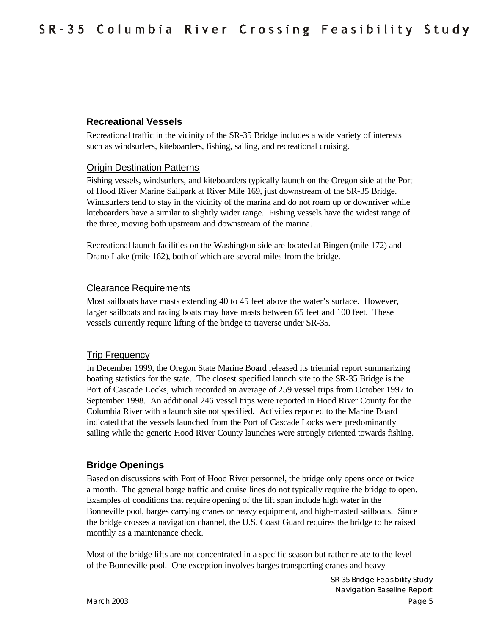#### **Recreational Vessels**

Recreational traffic in the vicinity of the SR-35 Bridge includes a wide variety of interests such as windsurfers, kiteboarders, fishing, sailing, and recreational cruising.

#### Origin-Destination Patterns

Fishing vessels, windsurfers, and kiteboarders typically launch on the Oregon side at the Port of Hood River Marine Sailpark at River Mile 169, just downstream of the SR-35 Bridge. Windsurfers tend to stay in the vicinity of the marina and do not roam up or downriver while kiteboarders have a similar to slightly wider range. Fishing vessels have the widest range of the three, moving both upstream and downstream of the marina.

Recreational launch facilities on the Washington side are located at Bingen (mile 172) and Drano Lake (mile 162), both of which are several miles from the bridge.

#### Clearance Requirements

Most sailboats have masts extending 40 to 45 feet above the water's surface. However, larger sailboats and racing boats may have masts between 65 feet and 100 feet. These vessels currently require lifting of the bridge to traverse under SR-35.

#### Trip Frequency

In December 1999, the Oregon State Marine Board released its triennial report summarizing boating statistics for the state. The closest specified launch site to the SR-35 Bridge is the Port of Cascade Locks, which recorded an average of 259 vessel trips from October 1997 to September 1998. An additional 246 vessel trips were reported in Hood River County for the Columbia River with a launch site not specified. Activities reported to the Marine Board indicated that the vessels launched from the Port of Cascade Locks were predominantly sailing while the generic Hood River County launches were strongly oriented towards fishing.

#### **Bridge Openings**

Based on discussions with Port of Hood River personnel, the bridge only opens once or twice a month. The general barge traffic and cruise lines do not typically require the bridge to open. Examples of conditions that require opening of the lift span include high water in the Bonneville pool, barges carrying cranes or heavy equipment, and high-masted sailboats. Since the bridge crosses a navigation channel, the U.S. Coast Guard requires the bridge to be raised monthly as a maintenance check.

Most of the bridge lifts are not concentrated in a specific season but rather relate to the level of the Bonneville pool. One exception involves barges transporting cranes and heavy

> SR-35 Bridge Feasibility Study Navigation Baseline Report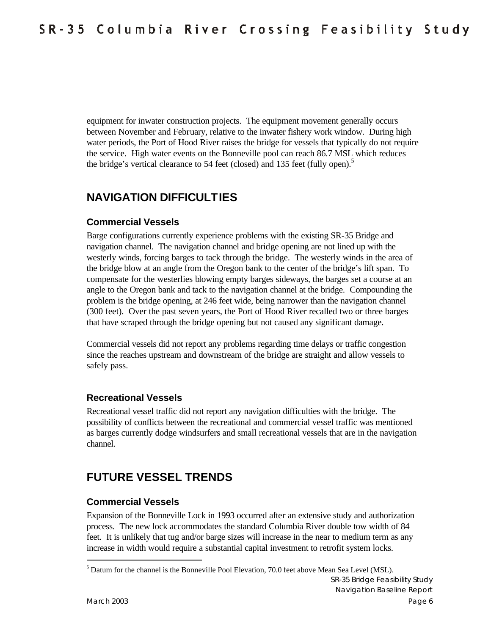equipment for inwater construction projects. The equipment movement generally occurs between November and February, relative to the inwater fishery work window. During high water periods, the Port of Hood River raises the bridge for vessels that typically do not require the service. High water events on the Bonneville pool can reach 86.7 MSL which reduces the bridge's vertical clearance to 54 feet (closed) and 135 feet (fully open).<sup>5</sup>

# **NAVIGATION DIFFICULTIES**

#### **Commercial Vessels**

Barge configurations currently experience problems with the existing SR-35 Bridge and navigation channel. The navigation channel and bridge opening are not lined up with the westerly winds, forcing barges to tack through the bridge. The westerly winds in the area of the bridge blow at an angle from the Oregon bank to the center of the bridge's lift span. To compensate for the westerlies blowing empty barges sideways, the barges set a course at an angle to the Oregon bank and tack to the navigation channel at the bridge. Compounding the problem is the bridge opening, at 246 feet wide, being narrower than the navigation channel (300 feet). Over the past seven years, the Port of Hood River recalled two or three barges that have scraped through the bridge opening but not caused any significant damage.

Commercial vessels did not report any problems regarding time delays or traffic congestion since the reaches upstream and downstream of the bridge are straight and allow vessels to safely pass.

#### **Recreational Vessels**

Recreational vessel traffic did not report any navigation difficulties with the bridge. The possibility of conflicts between the recreational and commercial vessel traffic was mentioned as barges currently dodge windsurfers and small recreational vessels that are in the navigation channel.

# **FUTURE VESSEL TRENDS**

#### **Commercial Vessels**

Expansion of the Bonneville Lock in 1993 occurred after an extensive study and authorization process. The new lock accommodates the standard Columbia River double tow width of 84 feet. It is unlikely that tug and/or barge sizes will increase in the near to medium term as any increase in width would require a substantial capital investment to retrofit system locks.

SR-35 Bridge Feasibility Study Navigation Baseline Report <sup>5</sup> Datum for the channel is the Bonneville Pool Elevation, 70.0 feet above Mean Sea Level (MSL).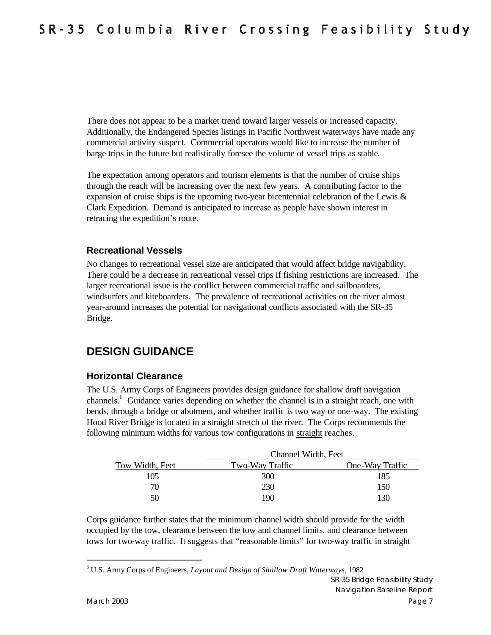There does not appear to be a market trend toward larger vessels or increased capacity. Additionally, the Endangered Species listings in Pacific Northwest waterways have made any commercial activity suspect. Commercial operators would like to increase the number of barge trips in the future but realistically foresee the volume of vessel trips as stable.

The expectation among operators and tourism elements is that the number of cruise ships through the reach will be increasing over the next few years. A contributing factor to the expansion of cruise ships is the upcoming two-year bicentennial celebration of the Lewis & Clark Expedition. Demand is anticipated to increase as people have shown interest in retracing the expedition's route.

#### **Recreational Vessels**

No changes to recreational vessel size are anticipated that would affect bridge navigability. There could be a decrease in recreational vessel trips if fishing restrictions are increased. The larger recreational issue is the conflict between commercial traffic and sailboarders, windsurfers and kiteboarders. The prevalence of recreational activities on the river almost year-around increases the potential for navigational conflicts associated with the SR-35 Bridge.

### **DESIGN GUIDANCE**

#### **Horizontal Clearance**

The U.S. Army Corps of Engineers provides design guidance for shallow draft navigation channels.<sup>6</sup> Guidance varies depending on whether the channel is in a straight reach, one with bends, through a bridge or abutment, and whether traffic is two way or one-way. The existing Hood River Bridge is located in a straight stretch of the river. The Corps recommends the following minimum widths for various tow configurations in straight reaches.

|                 | Channel Width, Feet |                 |  |
|-----------------|---------------------|-----------------|--|
| Tow Width, Feet | Two-Way Traffic     | One-Way Traffic |  |
| 105             | 300                 | 185             |  |
| 70              | 230                 | 150             |  |
| 50              | 190                 | 130             |  |

Corps guidance further states that the minimum channel width should provide for the width occupied by the tow, clearance between the tow and channel limits, and clearance between tows for two-way traffic. It suggests that "reasonable limits" for two-way traffic in straight

SR-35 Bridge Feasibility Study Navigation Baseline Report

<sup>6</sup> U.S. Army Corps of Engineers, *Layout and Design of Shallow Draft Waterways,* 1982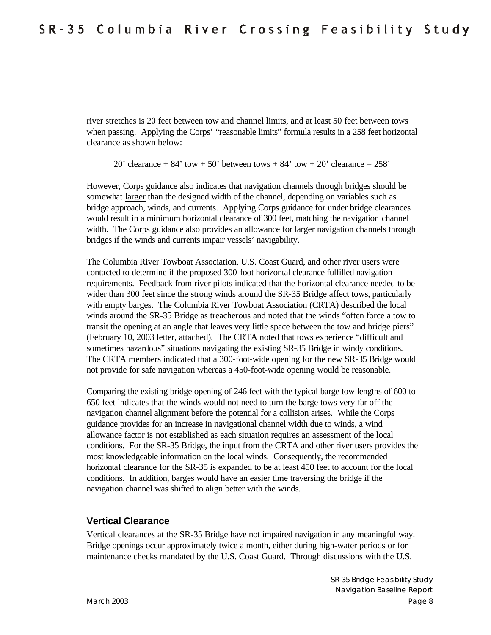river stretches is 20 feet between tow and channel limits, and at least 50 feet between tows when passing. Applying the Corps' "reasonable limits" formula results in a 258 feet horizontal clearance as shown below:

20' clearance  $+ 84'$  tow  $+ 50'$  between tows  $+ 84'$  tow  $+ 20'$  clearance  $= 258'$ 

However, Corps guidance also indicates that navigation channels through bridges should be somewhat larger than the designed width of the channel, depending on variables such as bridge approach, winds, and currents. Applying Corps guidance for under bridge clearances would result in a minimum horizontal clearance of 300 feet, matching the navigation channel width. The Corps guidance also provides an allowance for larger navigation channels through bridges if the winds and currents impair vessels' navigability.

The Columbia River Towboat Association, U.S. Coast Guard, and other river users were contacted to determine if the proposed 300-foot horizontal clearance fulfilled navigation requirements. Feedback from river pilots indicated that the horizontal clearance needed to be wider than 300 feet since the strong winds around the SR-35 Bridge affect tows, particularly with empty barges. The Columbia River Towboat Association (CRTA) described the local winds around the SR-35 Bridge as treacherous and noted that the winds "often force a tow to transit the opening at an angle that leaves very little space between the tow and bridge piers" (February 10, 2003 letter, attached). The CRTA noted that tows experience "difficult and sometimes hazardous" situations navigating the existing SR-35 Bridge in windy conditions. The CRTA members indicated that a 300-foot-wide opening for the new SR-35 Bridge would not provide for safe navigation whereas a 450-foot-wide opening would be reasonable.

Comparing the existing bridge opening of 246 feet with the typical barge tow lengths of 600 to 650 feet indicates that the winds would not need to turn the barge tows very far off the navigation channel alignment before the potential for a collision arises. While the Corps guidance provides for an increase in navigational channel width due to winds, a wind allowance factor is not established as each situation requires an assessment of the local conditions. For the SR-35 Bridge, the input from the CRTA and other river users provides the most knowledgeable information on the local winds. Consequently, the recommended horizontal clearance for the SR-35 is expanded to be at least 450 feet to account for the local conditions. In addition, barges would have an easier time traversing the bridge if the navigation channel was shifted to align better with the winds.

#### **Vertical Clearance**

Vertical clearances at the SR-35 Bridge have not impaired navigation in any meaningful way. Bridge openings occur approximately twice a month, either during high-water periods or for maintenance checks mandated by the U.S. Coast Guard. Through discussions with the U.S.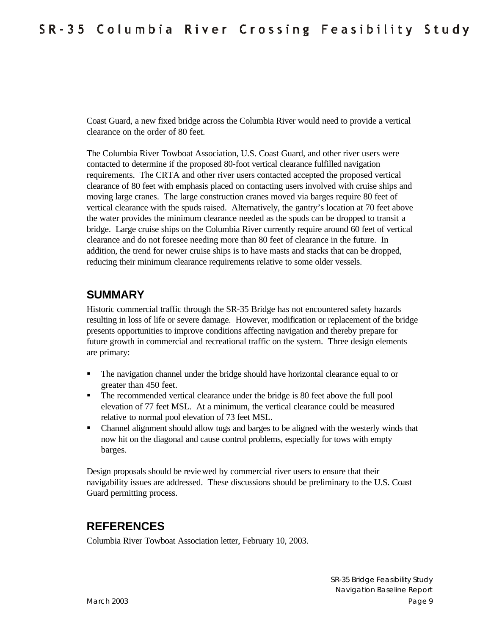Coast Guard, a new fixed bridge across the Columbia River would need to provide a vertical clearance on the order of 80 feet.

The Columbia River Towboat Association, U.S. Coast Guard, and other river users were contacted to determine if the proposed 80-foot vertical clearance fulfilled navigation requirements. The CRTA and other river users contacted accepted the proposed vertical clearance of 80 feet with emphasis placed on contacting users involved with cruise ships and moving large cranes. The large construction cranes moved via barges require 80 feet of vertical clearance with the spuds raised. Alternatively, the gantry's location at 70 feet above the water provides the minimum clearance needed as the spuds can be dropped to transit a bridge. Large cruise ships on the Columbia River currently require around 60 feet of vertical clearance and do not foresee needing more than 80 feet of clearance in the future. In addition, the trend for newer cruise ships is to have masts and stacks that can be dropped, reducing their minimum clearance requirements relative to some older vessels.

### **SUMMARY**

Historic commercial traffic through the SR-35 Bridge has not encountered safety hazards resulting in loss of life or severe damage. However, modification or replacement of the bridge presents opportunities to improve conditions affecting navigation and thereby prepare for future growth in commercial and recreational traffic on the system. Three design elements are primary:

- The navigation channel under the bridge should have horizontal clearance equal to or greater than 450 feet.
- The recommended vertical clearance under the bridge is 80 feet above the full pool elevation of 77 feet MSL. At a minimum, the vertical clearance could be measured relative to normal pool elevation of 73 feet MSL.
- Channel alignment should allow tugs and barges to be aligned with the westerly winds that now hit on the diagonal and cause control problems, especially for tows with empty barges.

Design proposals should be reviewed by commercial river users to ensure that their navigability issues are addressed. These discussions should be preliminary to the U.S. Coast Guard permitting process.

### **REFERENCES**

Columbia River Towboat Association letter, February 10, 2003.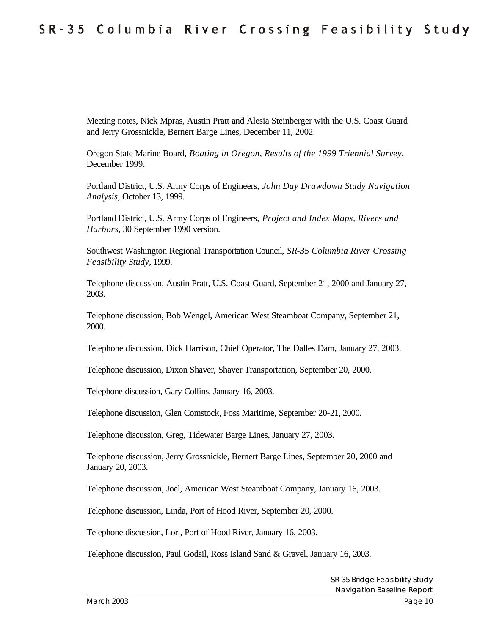Meeting notes, Nick Mpras, Austin Pratt and Alesia Steinberger with the U.S. Coast Guard and Jerry Grossnickle, Bernert Barge Lines, December 11, 2002.

Oregon State Marine Board, *Boating in Oregon, Results of the 1999 Triennial Survey*, December 1999.

Portland District, U.S. Army Corps of Engineers, *John Day Drawdown Study Navigation Analysis*, October 13, 1999.

Portland District, U.S. Army Corps of Engineers, *Project and Index Maps, Rivers and Harbors*, 30 September 1990 version.

Southwest Washington Regional Transportation Council, *SR-35 Columbia River Crossing Feasibility Study*, 1999.

Telephone discussion, Austin Pratt, U.S. Coast Guard, September 21, 2000 and January 27, 2003.

Telephone discussion, Bob Wengel, American West Steamboat Company, September 21, 2000.

Telephone discussion, Dick Harrison, Chief Operator, The Dalles Dam, January 27, 2003.

Telephone discussion, Dixon Shaver, Shaver Transportation, September 20, 2000.

Telephone discussion, Gary Collins, January 16, 2003.

Telephone discussion, Glen Comstock, Foss Maritime, September 20-21, 2000.

Telephone discussion, Greg, Tidewater Barge Lines, January 27, 2003.

Telephone discussion, Jerry Grossnickle, Bernert Barge Lines, September 20, 2000 and January 20, 2003.

Telephone discussion, Joel, American West Steamboat Company, January 16, 2003.

Telephone discussion, Linda, Port of Hood River, September 20, 2000.

Telephone discussion, Lori, Port of Hood River, January 16, 2003.

Telephone discussion, Paul Godsil, Ross Island Sand & Gravel, January 16, 2003.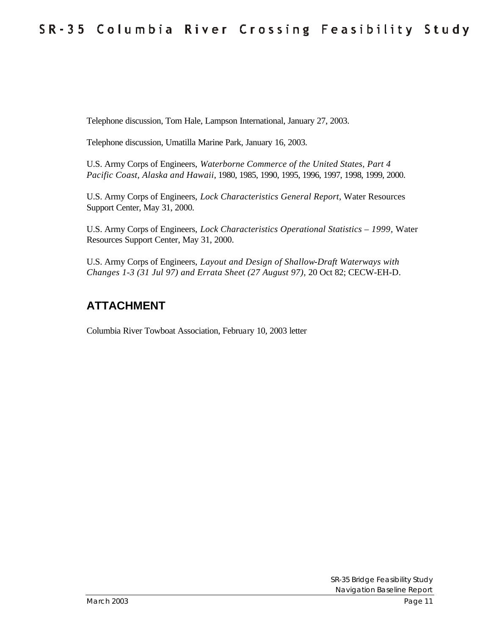Telephone discussion, Tom Hale, Lampson International, January 27, 2003.

Telephone discussion, Umatilla Marine Park, January 16, 2003.

U.S. Army Corps of Engineers, *Waterborne Commerce of the United States, Part 4 Pacific Coast, Alaska and Hawaii*, 1980, 1985, 1990, 1995, 1996, 1997, 1998, 1999, 2000.

U.S. Army Corps of Engineers, *Lock Characteristics General Report*, Water Resources Support Center, May 31, 2000.

U.S. Army Corps of Engineers, *Lock Characteristics Operational Statistics – 1999,* Water Resources Support Center, May 31, 2000.

U.S. Army Corps of Engineers, *Layout and Design of Shallow-Draft Waterways with Changes 1-3 (31 Jul 97) and Errata Sheet (27 August 97),* 20 Oct 82; CECW-EH-D.

### **ATTACHMENT**

Columbia River Towboat Association, February 10, 2003 letter